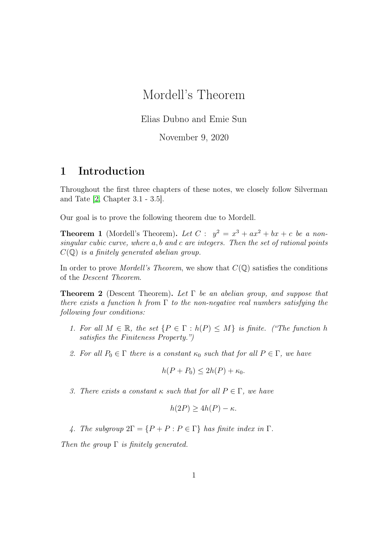# Mordell's Theorem

Elias Dubno and Emie Sun

November 9, 2020

## 1 Introduction

Throughout the first three chapters of these notes, we closely follow Silverman and Tate [\[2,](#page-9-0) Chapter 3.1 - 3.5].

Our goal is to prove the following theorem due to Mordell.

**Theorem 1** (Mordell's Theorem). Let  $C: y^2 = x^3 + ax^2 + bx + c$  be a nonsingular cubic curve, where a, b and c are integers. Then the set of rational points  $C(\mathbb{Q})$  is a finitely generated abelian group.

In order to prove *Mordell's Theorem*, we show that  $C(\mathbb{Q})$  satisfies the conditions of the Descent Theorem.

**Theorem 2** (Descent Theorem). Let  $\Gamma$  be an abelian group, and suppose that there exists a function h from  $\Gamma$  to the non-negative real numbers satisfying the following four conditions:

- 1. For all  $M \in \mathbb{R}$ , the set  $\{P \in \Gamma : h(P) \leq M\}$  is finite. ("The function h satisfies the Finiteness Property.")
- 2. For all  $P_0 \in \Gamma$  there is a constant  $\kappa_0$  such that for all  $P \in \Gamma$ , we have

$$
h(P + P_0) \le 2h(P) + \kappa_0.
$$

3. There exists a constant  $\kappa$  such that for all  $P \in \Gamma$ , we have

$$
h(2P) \ge 4h(P) - \kappa.
$$

4. The subgroup  $2\Gamma = \{P + P : P \in \Gamma\}$  has finite index in  $\Gamma$ .

Then the group  $\Gamma$  is finitely generated.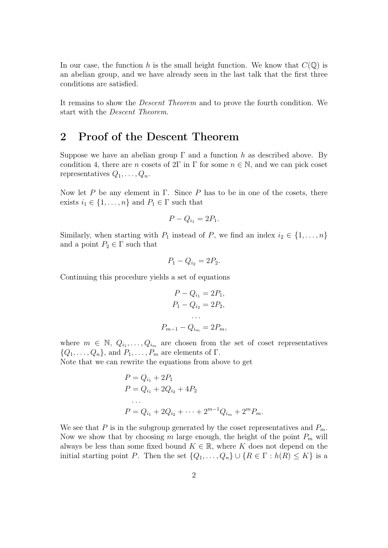In our case, the function h is the small height function. We know that  $C(\mathbb{Q})$  is an abelian group, and we have already seen in the last talk that the first three conditions are satisfied.

It remains to show the Descent Theorem and to prove the fourth condition. We start with the Descent Theorem.

## 2 Proof of the Descent Theorem

Suppose we have an abelian group  $\Gamma$  and a function h as described above. By condition 4, there are n cosets of  $2\Gamma$  in  $\Gamma$  for some  $n \in \mathbb{N}$ , and we can pick coset representatives  $Q_1, \ldots, Q_n$ .

Now let P be any element in Γ. Since P has to be in one of the cosets, there exists  $i_1 \in \{1, \ldots, n\}$  and  $P_1 \in \Gamma$  such that

$$
P - Q_{i_1} = 2P_1.
$$

Similarly, when starting with  $P_1$  instead of P, we find an index  $i_2 \in \{1, \ldots, n\}$ and a point  $P_2 \in \Gamma$  such that

$$
P_1 - Q_{i_2} = 2P_2.
$$

Continuing this procedure yields a set of equations

$$
P - Q_{i_1} = 2P_1,
$$
  
\n
$$
P_1 - Q_{i_2} = 2P_2,
$$
  
\n...  
\n
$$
P_{m-1} - Q_{i_m} = 2P_m,
$$

where  $m \in \mathbb{N}, Q_{i_1}, \ldots, Q_{i_m}$  are chosen from the set of coset representatives  $\{Q_1, \ldots, Q_n\}$ , and  $P_1, \ldots, P_m$  are elements of  $\Gamma$ .

Note that we can rewrite the equations from above to get

$$
P = Q_{i_1} + 2P_1
$$
  
\n
$$
P = Q_{i_1} + 2Q_{i_2} + 4P_2
$$
  
\n...  
\n
$$
P = Q_{i_1} + 2Q_{i_2} + \dots + 2^{m-1}Q_{i_m} + 2^m P_m.
$$

We see that P is in the subgroup generated by the coset representatives and  $P_m$ . Now we show that by choosing m large enough, the height of the point  $P_m$  will always be less than some fixed bound  $K \in \mathbb{R}$ , where K does not depend on the initial starting point P. Then the set  $\{Q_1, \ldots, Q_n\} \cup \{R \in \Gamma : h(R) \leq K\}$  is a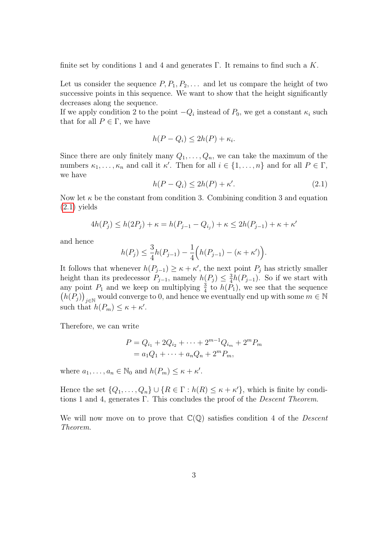finite set by conditions 1 and 4 and generates Γ. It remains to find such a  $K$ .

Let us consider the sequence  $P, P_1, P_2, \ldots$  and let us compare the height of two successive points in this sequence. We want to show that the height significantly decreases along the sequence.

If we apply condition 2 to the point  $-Q_i$  instead of  $P_0$ , we get a constant  $\kappa_i$  such that for all  $P \in \Gamma$ , we have

$$
h(P - Q_i) \le 2h(P) + \kappa_i.
$$

Since there are only finitely many  $Q_1, \ldots, Q_n$ , we can take the maximum of the numbers  $\kappa_1, \ldots, \kappa_n$  and call it  $\kappa'$ . Then for all  $i \in \{1, \ldots, n\}$  and for all  $P \in \Gamma$ , we have

<span id="page-2-0"></span>
$$
h(P - Q_i) \le 2h(P) + \kappa'.\tag{2.1}
$$

Now let  $\kappa$  be the constant from condition 3. Combining condition 3 and equation  $(2.1)$  yields

$$
4h(P_j) \le h(2P_j) + \kappa = h(P_{j-1} - Q_{i_j}) + \kappa \le 2h(P_{j-1}) + \kappa + \kappa'
$$

and hence

$$
h(P_j) \le \frac{3}{4}h(P_{j-1}) - \frac{1}{4}\Big(h(P_{j-1}) - (\kappa + \kappa')\Big).
$$

It follows that whenever  $h(P_{j-1}) \geq \kappa + \kappa'$ , the next point  $P_j$  has strictly smaller height than its predecessor  $P_{j-1}$ , namely  $h(P_j) \leq \frac{3}{4}$  $\frac{3}{4}h(P_{j-1})$ . So if we start with any point  $P_1$  and we keep on multiplying  $\frac{3}{4}$  to  $h(P_1)$ , we see that the sequence  $(h(P_j))_{j\in\mathbb{N}}$  would converge to 0, and hence we eventually end up with some  $m\in\mathbb{N}$ such that  $h(P_m) \leq \kappa + \kappa'.$ 

Therefore, we can write

$$
P = Q_{i_1} + 2Q_{i_2} + \dots + 2^{m-1}Q_{i_m} + 2^m P_m
$$
  
=  $a_1Q_1 + \dots + a_nQ_n + 2^m P_m$ ,

where  $a_1, \ldots, a_n \in \mathbb{N}_0$  and  $h(P_m) \leq \kappa + \kappa'.$ 

Hence the set  $\{Q_1, \ldots, Q_n\} \cup \{R \in \Gamma : h(R) \leq \kappa + \kappa'\},\$  which is finite by conditions 1 and 4, generates Γ. This concludes the proof of the *Descent Theorem*.

We will now move on to prove that  $\mathbb{C}(\mathbb{Q})$  satisfies condition 4 of the *Descent* Theorem.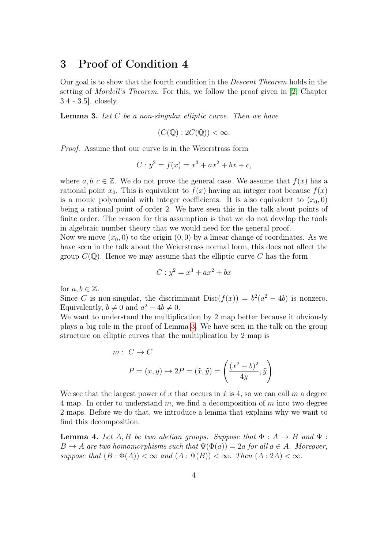### 3 Proof of Condition 4

Our goal is to show that the fourth condition in the Descent Theorem holds in the setting of Mordell's Theorem. For this, we follow the proof given in [\[2,](#page-9-0) Chapter 3.4 - 3.5]. closely.

<span id="page-3-0"></span>**Lemma 3.** Let  $C$  be a non-singular elliptic curve. Then we have

$$
(C(\mathbb{Q}):2C(\mathbb{Q}))<\infty.
$$

Proof. Assume that our curve is in the Weierstrass form

$$
C: y^2 = f(x) = x^3 + ax^2 + bx + c,
$$

where  $a, b, c \in \mathbb{Z}$ . We do not prove the general case. We assume that  $f(x)$  has a rational point  $x_0$ . This is equivalent to  $f(x)$  having an integer root because  $f(x)$ is a monic polynomial with integer coefficients. It is also equivalent to  $(x_0, 0)$ being a rational point of order 2. We have seen this in the talk about points of finite order. The reason for this assumption is that we do not develop the tools in algebraic number theory that we would need for the general proof.

Now we move  $(x_0, 0)$  to the origin  $(0, 0)$  by a linear change of coordinates. As we have seen in the talk about the Weierstrass normal form, this does not affect the group  $C(\mathbb{Q})$ . Hence we may assume that the elliptic curve C has the form

$$
C: y^2 = x^3 + ax^2 + bx
$$

for  $a, b \in \mathbb{Z}$ .

Since C is non-singular, the discriminant  $Disc(f(x)) = b^2(a^2 - 4b)$  is nonzero. Equivalently,  $b \neq 0$  and  $a^2 - 4b \neq 0$ .

We want to understand the multiplication by 2 map better because it obviously plays a big role in the proof of Lemma [3.](#page-3-0) We have seen in the talk on the group structure on elliptic curves that the multiplication by 2 map is

$$
m: C \to C
$$
  

$$
P = (x, y) \mapsto 2P = (\tilde{x}, \tilde{y}) = \left(\frac{(x^2 - b)^2}{4y}, \tilde{y}\right).
$$

We see that the largest power of x that occurs in  $\tilde{x}$  is 4, so we can call m a degree 4 map. In order to understand m, we find a decomposition of m into two degree 2 maps. Before we do that, we introduce a lemma that explains why we want to find this decomposition.

<span id="page-3-1"></span>**Lemma 4.** Let A, B be two abelian groups. Suppose that  $\Phi : A \rightarrow B$  and  $\Psi :$  $B \to A$  are two homomorphisms such that  $\Psi(\Phi(a)) = 2a$  for all  $a \in A$ . Moreover, suppose that  $(B : \Phi(A)) < \infty$  and  $(A : \Psi(B)) < \infty$ . Then  $(A : 2A) < \infty$ .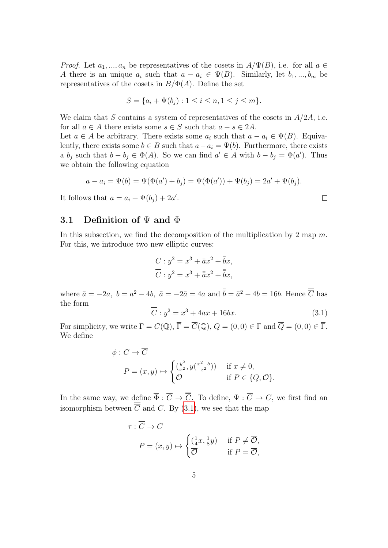*Proof.* Let  $a_1, ..., a_n$  be representatives of the cosets in  $A/\Psi(B)$ , i.e. for all  $a \in$ A there is an unique  $a_i$  such that  $a - a_i \in \Psi(B)$ . Similarly, let  $b_1, ..., b_m$  be representatives of the cosets in  $B/\Phi(A)$ . Define the set

$$
S = \{a_i + \Psi(b_j) : 1 \le i \le n, 1 \le j \le m\}.
$$

We claim that S contains a system of representatives of the cosets in  $A/2A$ , i.e. for all  $a \in A$  there exists some  $s \in S$  such that  $a - s \in 2A$ .

Let  $a \in A$  be arbitrary. There exists some  $a_i$  such that  $a - a_i \in \Psi(B)$ . Equivalently, there exists some  $b \in B$  such that  $a - a_i = \Psi(b)$ . Furthermore, there exists a  $b_j$  such that  $b - b_j \in \Phi(A)$ . So we can find  $a' \in A$  with  $b - b_j = \Phi(a')$ . Thus we obtain the following equation

$$
a - a_i = \Psi(b) = \Psi(\Phi(a') + b_j) = \Psi(\Phi(a')) + \Psi(b_j) = 2a' + \Psi(b_j).
$$

It follows that  $a = a_i + \Psi(b_j) + 2a'$ .

### 3.1 Definition of  $\Psi$  and  $\Phi$

In this subsection, we find the decomposition of the multiplication by 2 map  $m$ . For this, we introduce two new elliptic curves:

$$
\overline{C}: y^2 = x^3 + \bar{a}x^2 + \bar{b}x,
$$
  

$$
\overline{\overline{C}}: y^2 = x^3 + \bar{a}x^2 + \bar{b}x,
$$

where  $\bar{a} = -2a$ ,  $\bar{b} = a^2 - 4b$ ,  $\bar{\bar{a}} = -2\bar{a} = 4a$  and  $\bar{\bar{b}} = \bar{a}^2 - 4\bar{b} = 16b$ . Hence  $\overline{\overline{C}}$  has the form

<span id="page-4-0"></span>
$$
\overline{C}: y^2 = x^3 + 4ax + 16bx. \tag{3.1}
$$

 $\Box$ 

For simplicity, we write  $\Gamma = C(\mathbb{Q}), \overline{\Gamma} = \overline{C}(\mathbb{Q}), Q = (0,0) \in \Gamma$  and  $\overline{Q} = (0,0) \in \overline{\Gamma}$ . We define

$$
\phi: C \to \overline{C}
$$
  
\n
$$
P = (x, y) \mapsto \begin{cases} (\frac{y^2}{x^2}, y(\frac{x^2 - b}{x^2})) & \text{if } x \neq 0, \\ \mathcal{O} & \text{if } P \in \{Q, \mathcal{O}\}. \end{cases}
$$

In the same way, we define  $\overline{\Phi} : \overline{C} \to \overline{\overline{C}}$ . To define,  $\Psi : \overline{C} \to C$ , we first find an isomorphism between  $\overline{\overline{C}}$  and C. By [\(3.1\)](#page-4-0), we see that the map

$$
\tau : \overline{\overline{C}} \to C
$$
  
 
$$
P = (x, y) \mapsto \begin{cases} (\frac{1}{4}x, \frac{1}{8}y) & \text{if } P \neq \overline{\overline{O}}, \\ \overline{\overline{O}} & \text{if } P = \overline{\overline{O}}, \end{cases}
$$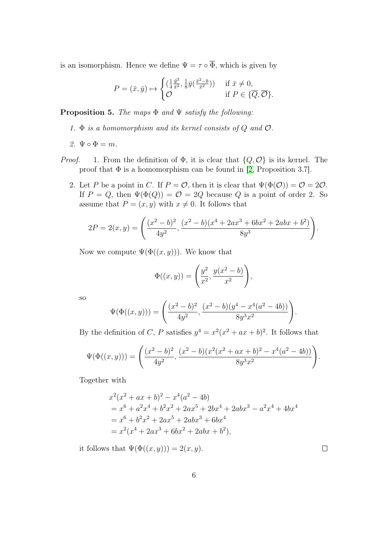is an isomorphism. Hence we define  $\Psi = \tau \circ \overline{\Phi}$ , which is given by

$$
P = (\bar{x}, \bar{y}) \mapsto \begin{cases} \left(\frac{1}{4}\frac{\bar{y}^2}{\bar{x}^2}, \frac{1}{8}\bar{y}(\frac{\bar{x}^2 - b}{\bar{x}^2})\right) & \text{if } \bar{x} \neq 0, \\ \mathcal{O} & \text{if } P \in \{\overline{Q}, \overline{\mathcal{O}}\}. \end{cases}
$$

**Proposition 5.** The maps  $\Phi$  and  $\Psi$  satisfy the following:

- 1.  $\Phi$  is a homomorphism and its kernel consists of Q and  $\mathcal{O}$ .
- 2.  $\Psi \circ \Phi = m$ .
- *Proof.* 1. From the definition of  $\Phi$ , it is clear that  $\{Q, \mathcal{O}\}\$ is its kernel. The proof that  $\Phi$  is a homomorphism can be found in [\[2,](#page-9-0) Proposition 3.7].
	- 2. Let P be a point in C. If  $P = \mathcal{O}$ , then it is clear that  $\Psi(\Phi(\mathcal{O})) = \mathcal{O} = 2\mathcal{O}$ . If  $P = Q$ , then  $\Psi(\Phi(Q)) = \mathcal{O} = 2Q$  because Q is a point of order 2. So assume that  $P = (x, y)$  with  $x \neq 0$ . It follows that

$$
2P = 2(x, y) = \left(\frac{(x^2 - b)^2}{4y^2}, \frac{(x^2 - b)(x^4 + 2ax^3 + 6bx^2 + 2abx + b^2)}{8y^3}\right).
$$

Now we compute  $\Psi(\Phi((x, y)))$ . We know that

$$
\Phi((x, y)) = \left(\frac{y^2}{x^2}, \frac{y(x^2 - b)}{x^2}\right),
$$

so

$$
\Psi(\Phi((x,y))) = \left(\frac{(x^2 - b)^2}{4y^2}, \frac{(x^2 - b)(y^4 - x^4(a^2 - 4b))}{8y^3x^2}\right).
$$

By the definition of C, P satisfies  $y^4 = x^2(x^2 + ax + b)^2$ . It follows that

$$
\Psi(\Phi((x,y))) = \left(\frac{(x^2 - b)^2}{4y^2}, \frac{(x^2 - b)(x^2(x^2 + ax + b)^2 - x^4(a^2 - 4b))}{8y^3x^2}\right).
$$

Together with

$$
x^{2}(x^{2} + ax + b)^{2} - x^{4}(a^{2} - 4b)
$$
  
=  $x^{6} + a^{2}x^{4} + b^{2}x^{2} + 2ax^{5} + 2bx^{4} + 2abx^{3} - a^{2}x^{4} + 4bx^{4}$   
=  $x^{6} + b^{2}x^{2} + 2ax^{5} + 2abx^{3} + 6bx^{4}$   
=  $x^{2}(x^{4} + 2ax^{3} + 6bx^{2} + 2abx + b^{2}),$ 

it follows that  $\Psi(\Phi((x, y))) = 2(x, y)$ .

 $\Box$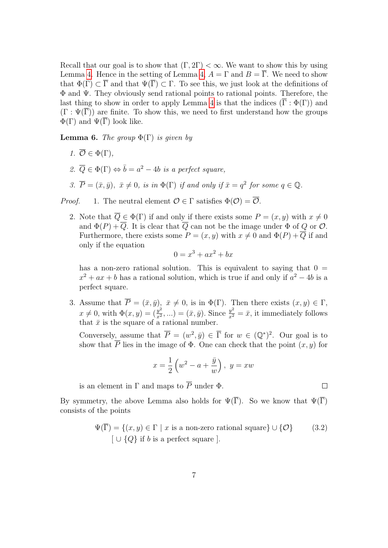Recall that our goal is to show that  $(\Gamma, 2\Gamma) < \infty$ . We want to show this by using Lemma [4.](#page-3-1) Hence in the setting of Lemma [4,](#page-3-1)  $A = \Gamma$  and  $B = \overline{\Gamma}$ . We need to show that  $\Phi(\Gamma) \subset \overline{\Gamma}$  and that  $\Psi(\overline{\Gamma}) \subset \Gamma$ . To see this, we just look at the definitions of Φ and Ψ. They obviously send rational points to rational points. Therefore, the last thing to show in order to apply Lemma [4](#page-3-1) is that the indices  $(\overline{\Gamma} : \Phi(\Gamma))$  and  $(\Gamma : \Psi(\overline{\Gamma}))$  are finite. To show this, we need to first understand how the groups  $\Phi(\Gamma)$  and  $\Psi(\overline{\Gamma})$  look like.

**Lemma 6.** The group  $\Phi(\Gamma)$  is given by

- 1.  $\overline{\mathcal{O}} \in \Phi(\Gamma)$ .
- 2.  $\overline{Q} \in \Phi(\Gamma) \Leftrightarrow \overline{b} = a^2 4b$  is a perfect square,
- 3.  $\overline{P} = (\bar{x}, \bar{y}), \ \bar{x} \neq 0, \text{ is in } \Phi(\Gamma) \text{ if and only if } \bar{x} = q^2 \text{ for some } q \in \mathbb{Q}.$

*Proof.* 1. The neutral element  $\mathcal{O} \in \Gamma$  satisfies  $\Phi(\mathcal{O}) = \overline{\mathcal{O}}$ .

2. Note that  $\overline{Q} \in \Phi(\Gamma)$  if and only if there exists some  $P = (x, y)$  with  $x \neq 0$ and  $\Phi(P) + \overline{Q}$ . It is clear that  $\overline{Q}$  can not be the image under  $\Phi$  of Q or  $\mathcal{O}$ . Furthermore, there exists some  $P = (x, y)$  with  $x \neq 0$  and  $\Phi(P) + \overline{Q}$  if and only if the equation

$$
0 = x^3 + ax^2 + bx
$$

has a non-zero rational solution. This is equivalent to saying that  $0 =$  $x^2 + ax + b$  has a rational solution, which is true if and only if  $a^2 - 4b$  is a perfect square.

3. Assume that  $P = (\bar{x}, \bar{y}), \ \bar{x} \neq 0$ , is in  $\Phi(\Gamma)$ . Then there exists  $(x, y) \in \Gamma$ ,  $x \neq 0$ , with  $\Phi(x, y) = \left(\frac{y^2}{x^2}\right)$  $(\frac{y^2}{x^2},...) = (\bar{x}, \bar{y})$ . Since  $\frac{y^2}{x^2} = \bar{x}$ , it immediately follows that  $\bar{x}$  is the square of a rational number.

Conversely, assume that  $\overline{P} = (w^2, \overline{y}) \in \overline{\Gamma}$  for  $w \in (\mathbb{Q}^*)^2$ . Our goal is to show that  $\overline{P}$  lies in the image of  $\Phi$ . One can check that the point  $(x, y)$  for

$$
x = \frac{1}{2} \left( w^2 - a + \frac{\bar{y}}{w} \right), \ y = xw
$$

is an element in  $\Gamma$  and maps to  $\overline{P}$  under  $\Phi$ .

By symmetry, the above Lemma also holds for  $\Psi(\overline{\Gamma})$ . So we know that  $\Psi(\overline{\Gamma})$ consists of the points

$$
\Psi(\overline{\Gamma}) = \{(x, y) \in \Gamma \mid x \text{ is a non-zero rational square}\} \cup \{\mathcal{O}\} \tag{3.2}
$$

$$
[ \cup \{Q\} \text{ if } b \text{ is a perfect square } ].
$$

<span id="page-6-0"></span> $\Box$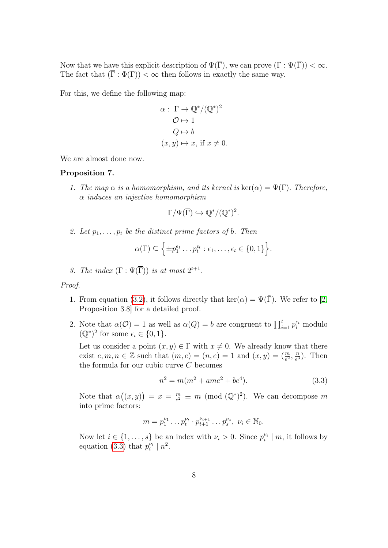Now that we have this explicit description of  $\Psi(\overline{\Gamma})$ , we can prove  $(\Gamma : \Psi(\overline{\Gamma})) < \infty$ . The fact that  $(\overline{\Gamma} : \Phi(\Gamma)) < \infty$  then follows in exactly the same way.

For this, we define the following map:

$$
\alpha: \Gamma \to \mathbb{Q}^*/(\mathbb{Q}^*)^2
$$

$$
\mathcal{O} \mapsto 1
$$

$$
\mathcal{Q} \mapsto b
$$

$$
(x, y) \mapsto x, \text{ if } x \neq 0.
$$

We are almost done now.

### Proposition 7.

1. The map  $\alpha$  is a homomorphism, and its kernel is  $\ker(\alpha) = \Psi(\overline{\Gamma})$ . Therefore, α induces an injective homomorphism

$$
\Gamma/\Psi(\overline{\Gamma})\hookrightarrow \mathbb{Q}^*/(\mathbb{Q}^*)^2.
$$

2. Let  $p_1, \ldots, p_t$  be the distinct prime factors of b. Then

$$
\alpha(\Gamma) \subseteq \left\{ \pm p_1^{\epsilon_1} \dots p_t^{\epsilon_t} : \epsilon_1, \dots, \epsilon_t \in \{0, 1\} \right\}.
$$

3. The index  $(\Gamma : \Psi(\overline{\Gamma}))$  is at most  $2^{t+1}$ .

#### Proof.

- 1. From equation [\(3.2\)](#page-6-0), it follows directly that  $\ker(\alpha) = \Psi(\bar{\Gamma})$ . We refer to [\[2,](#page-9-0) Proposition 3.8] for a detailed proof.
- 2. Note that  $\alpha(\mathcal{O}) = 1$  as well as  $\alpha(Q) = b$  are congruent to  $\prod_{i=1}^{t} p_i^{\epsilon_i}$  modulo  $(\mathbb{Q}^*)^2$  for some  $\epsilon_i \in \{0, 1\}.$

Let us consider a point  $(x, y) \in \Gamma$  with  $x \neq 0$ . We already know that there exist  $e, m, n \in \mathbb{Z}$  such that  $(m, e) = (n, e) = 1$  and  $(x, y) = \left(\frac{m}{e^2}, \frac{n}{e^2}\right)$  $\frac{n}{e^3}$ ). Then the formula for our cubic curve C becomes

<span id="page-7-0"></span>
$$
n^2 = m(m^2 + ame^2 + be^4).
$$
 (3.3)

Note that  $\alpha((x, y)) = x = \frac{m}{e^2}$  $\frac{m}{e^2} \equiv m \pmod{(\mathbb{Q}^*)^2}$ . We can decompose m into prime factors:

$$
m = p_1^{\nu_1} \dots p_t^{\nu_t} \cdot p_{t+1}^{\nu_{t+1}} \dots p_s^{\nu_s}, \ \nu_i \in \mathbb{N}_0.
$$

Now let  $i \in \{1, \ldots, s\}$  be an index with  $\nu_i > 0$ . Since  $p_i^{\nu_i} \mid m$ , it follows by equation [\(3.3\)](#page-7-0) that  $p_i^{\nu_i} \mid n^2$ .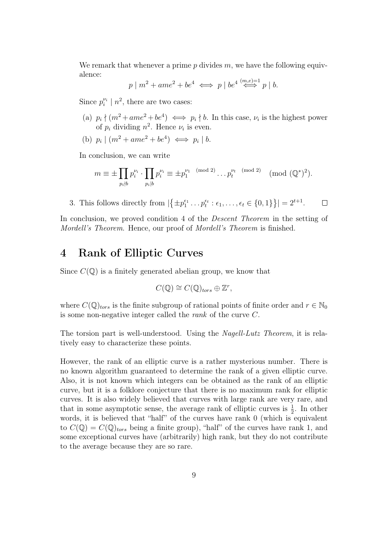We remark that whenever a prime  $p$  divides  $m$ , we have the following equivalence:

$$
p \mid m^2 + ame^2 + be^4 \iff p \mid be^4 \stackrel{(m,e)=1}{\iff} p \mid b.
$$

Since  $p_i^{\nu_i} \mid n^2$ , there are two cases:

- (a)  $p_i \nmid (m^2 + ame^2 + be^4) \iff p_i \nmid b$ . In this case,  $\nu_i$  is the highest power of  $p_i$  dividing  $n^2$ . Hence  $\nu_i$  is even.
- (b)  $p_i \mid (m^2 + ame^2 + be^4) \iff p_i \mid b$ .

In conclusion, we can write

$$
m \equiv \pm \prod_{p_i \nmid b} p_i^{\nu_i} \cdot \prod_{p_i \mid b} p_i^{\nu_i} \equiv \pm p_1^{\nu_1 \pmod{2}} \dots p_t^{\nu_t \pmod{2}} \pmod{(\mathbb{Q}^*)^2}.
$$

3. This follows directly from  $|\{\pm p_1^{\epsilon_1} \dots p_t^{\epsilon_t} : \epsilon_1, \dots, \epsilon_t \in \{0, 1\}\}| = 2^{t+1}$ .  $\Box$ 

In conclusion, we proved condition 4 of the *Descent Theorem* in the setting of Mordell's Theorem. Hence, our proof of Mordell's Theorem is finished.

### 4 Rank of Elliptic Curves

Since  $C(\mathbb{Q})$  is a finitely generated abelian group, we know that

$$
C(\mathbb{Q}) \cong C(\mathbb{Q})_{tors} \oplus \mathbb{Z}^r,
$$

where  $C(\mathbb{Q})_{tors}$  is the finite subgroup of rational points of finite order and  $r \in \mathbb{N}_0$ is some non-negative integer called the rank of the curve C.

The torsion part is well-understood. Using the Nagell-Lutz Theorem, it is relatively easy to characterize these points.

However, the rank of an elliptic curve is a rather mysterious number. There is no known algorithm guaranteed to determine the rank of a given elliptic curve. Also, it is not known which integers can be obtained as the rank of an elliptic curve, but it is a folklore conjecture that there is no maximum rank for elliptic curves. It is also widely believed that curves with large rank are very rare, and that in some asymptotic sense, the average rank of elliptic curves is  $\frac{1}{2}$ . In other words, it is believed that "half" of the curves have rank 0 (which is equivalent to  $C(\mathbb{Q}) = C(\mathbb{Q})_{tors}$  being a finite group), "half" of the curves have rank 1, and some exceptional curves have (arbitrarily) high rank, but they do not contribute to the average because they are so rare.